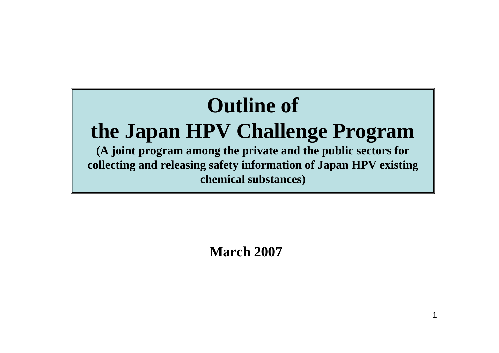

**March 2007**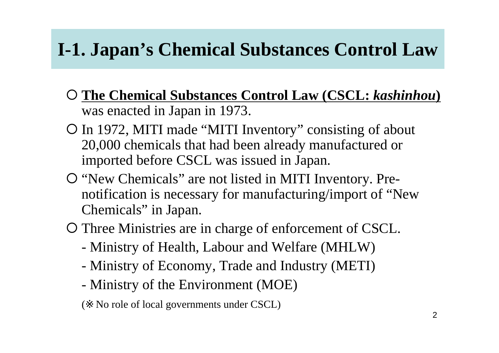## **I-1. Japan's Chemical Substances Control Law**

- { **The Chemical Substances Control Law (CSCL:** *kashinhou* **)** was enacted in Japan in 1973.
- { In 1972, MITI made "MITI Inventory" consisting of about 20,000 chemicals that had been already manufactured or imported before CSCL was issued in Japan.
- { "New Chemicals" are not listed in MITI Inventory. Prenotification is necessary for manufacturing/import of "New Chemicals" in Japan.
- { Three Ministries are in charge of enforcement of CSCL.
	- Ministry of Health, Labour and Welfare (MHLW)
	- Ministry of Economy, Trade and Industry (METI)
	- Ministry of the Environment (MOE)
	- No role of local governments under CSCL)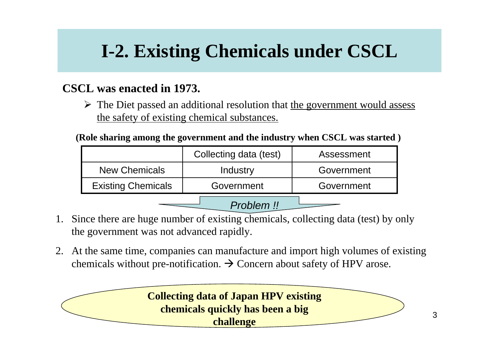## **I-2. Existing Chemicals under CSCL**

#### **CSCL was enacted in 1973.**

 $\triangleright$  The Diet passed an additional resolution that the government would assess the safety of existing chemical substances.

**(Role sharing among the government and the industry when CSCL was started )**

|                           | Collecting data (test) | Assessment |  |  |
|---------------------------|------------------------|------------|--|--|
| <b>New Chemicals</b>      | Industry               | Government |  |  |
| <b>Existing Chemicals</b> | Government             | Government |  |  |
| Problem !!                |                        |            |  |  |

- 1. Since there are huge number of existing chemicals, collecting data (test) by only the government was not advanced rapidly.
- 2. At the same time, companies can manufacture and import high volumes of existing chemicals without pre-notification.  $\rightarrow$  Concern about safety of HPV arose.

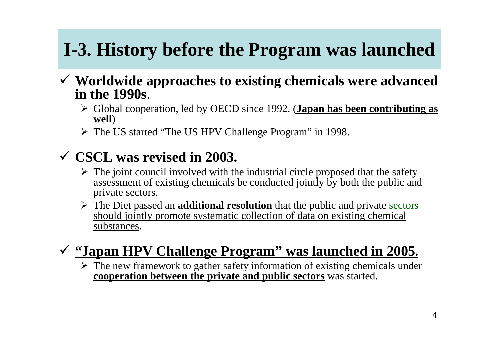# **I-3. History before the Program was launched**

- 9 **Worldwide approaches to existing chemicals were advanced in the 1990s**.
	- ¾ Global cooperation, led by OECD since 1992. (**Japan has been contributing as well** )
	- ¾ The US started "The US HPV Challenge Program" in 1998.

#### 9 **CSCL was revised in 2003.**

- $\triangleright$  The joint council involved with the industrial circle proposed that the safety assessment of existing chemicals be conducted jointly by both the public and private sectors.
- ¾ The Diet passed an **additional resolution** that the public and private sectors should jointly promote systematic collection of data on existing chemical substances.

#### 9 **"Japan HPV Challenge Program" was launched in 2005.**

 $\triangleright$  The new framework to gather safety information of existing chemicals under **cooperation between the private and public sectors** was started.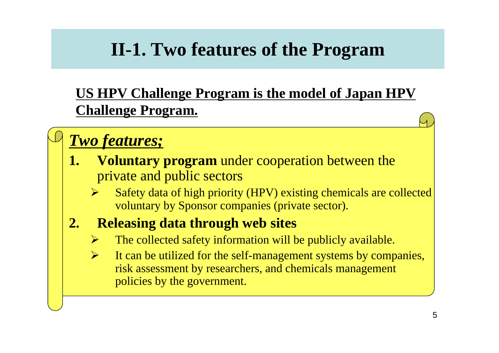### **II-1. Two features of the Program**

#### **US HPV Challenge Program is the model of Japan HPV Challenge Program.**

#### *Two features;*

- **1. Voluntary program** under cooperation between the private and public sectors
	- ¾ Safety data of high priority (HPV) existing chemicals are collected voluntary by Sponsor companies (private sector).

#### **2. Releasing data through web sites**

- ¾The collected safety information will be publicly available.
- $\blacktriangleright$  It can be utilized for the self-management systems by companies, risk assessment by researchers, and chemicals management policies by the government.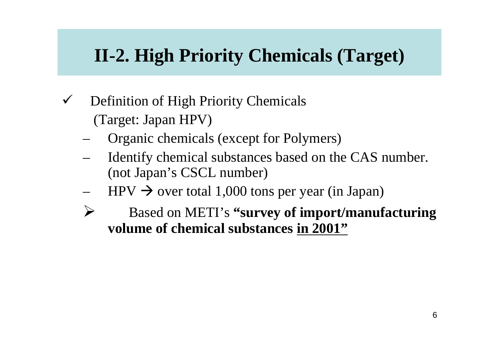### **II-2. High Priority Chemicals (Target)**

- $\checkmark$  Definition of High Priority Chemicals (Target: Japan HPV)
	- Organic chemicals (except for Polymers)
	- Identify chemical substances based on the CAS number. (not Japan's CSCL number)
	- $HPV \rightarrow$  over total 1,000 tons per year (in Japan)
	- ¾ Based on METI's **"survey of import/manufacturing volume of chemical substances in 2001"**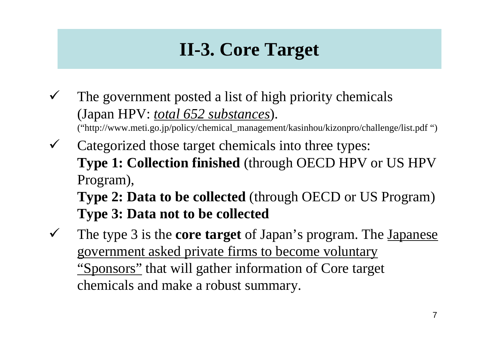## **II-3. Core Target**

- $\checkmark$  The government posted a list of high priority chemicals (Japan HPV: *total 652 substances*). ("http://www.meti.go.jp/policy/chemical\_management/kasinhou/kizonpro/challenge/list.pdf ")
- $\checkmark$  Categorized those target chemicals into three types: **Type 1: Collection finished** (through OECD HPV or US HPV Program), **Type 2: Data to be collected** (through OECD or US Program)

**Type 3: Data not to be collected**

 $\checkmark$  The type 3 is the **core target** of Japan's program. The Japanese government asked private firms to become voluntary "Sponsors" that will gather information of Core target chemicals and make a robust summary.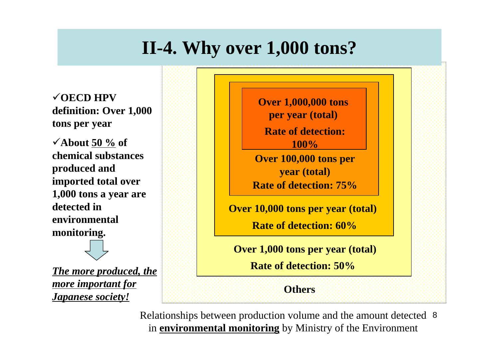### **II-4. Why over 1,000 tons?**

9**OECD HPV definition: Over 1,000 tons per year**

9**About 50 % of chemical substances produced and imported total over 1,000 tons a year are detected in environmental monitoring.**

*The more produced, the more important for Japanese society!*



Relationships between production volume and the amount detected 8 in **environmental monitoring** by Ministry of the Environment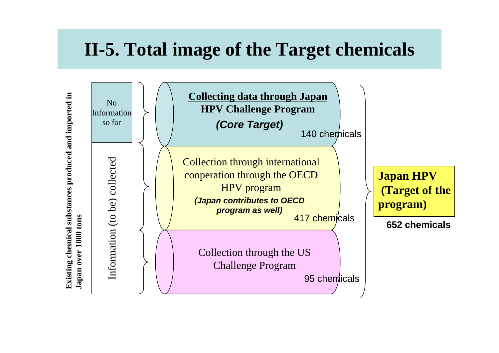#### **II-5. Total image of the Target chemicals**

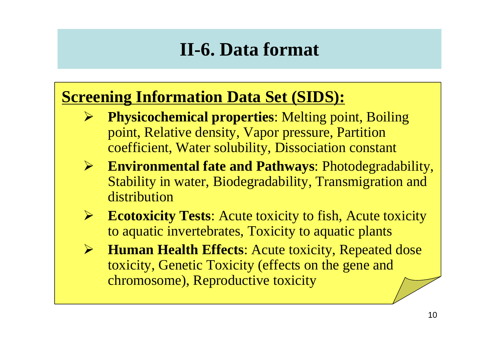### **II-6. Data format**

#### **Screening Information Data Set (SIDS):**

- ¾ **Physicochemical properties**: Melting point, Boiling point, Relative density, Vapor pressure, Partition coefficient, Water solubility, Dissociation constant
- $\blacktriangleright$  **Environmental fate and Pathways**: Photodegradability, Stability in water, Biodegradability, Transmigration and distribution
- $\blacktriangleright$ **Ecotoxicity Tests:** Acute toxicity to fish, Acute toxicity to aquatic invertebrates, Toxicity to aquatic plants
- $\blacktriangleright$  **Human Health Effects**: Acute toxicity, Repeated dose toxicity, Genetic Toxicity (effects on the gene and chromosome), Reproductive toxicity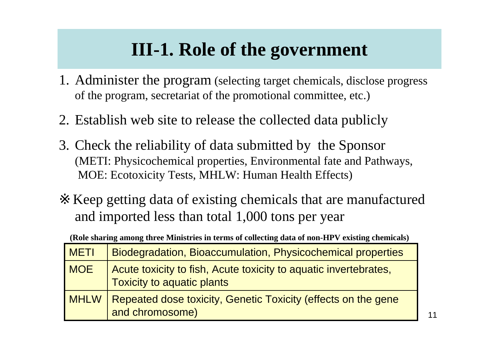### **III-1. Role of the government**

- 1. Administer the program (selecting target chemicals, disclose progress of the program, secretariat of the promotional committee, etc.)
- 2. Establish web site to release the collected data publicly
- 3. Check the reliability of data submitted by the Sponsor (METI: Physicochemical properties, Environmental fate and Pathways, MOE: Ecotoxicity Tests, MHLW: Human Health Effects)

Keep getting data of existing chemicals that are manufactured and imported less than total 1,000 tons per year

|  |  | (Role sharing among three Ministries in terms of collecting data of non-HPV existing chemicals) |  |
|--|--|-------------------------------------------------------------------------------------------------|--|
|--|--|-------------------------------------------------------------------------------------------------|--|

| METI        | <b>Biodegradation, Bioaccumulation, Physicochemical properties</b>                                    |
|-------------|-------------------------------------------------------------------------------------------------------|
| <b>MOE</b>  | Acute toxicity to fish, Acute toxicity to aquatic invertebrates,<br><b>Toxicity to aquatic plants</b> |
| <b>MHLW</b> | Repeated dose toxicity, Genetic Toxicity (effects on the gene<br>and chromosome)                      |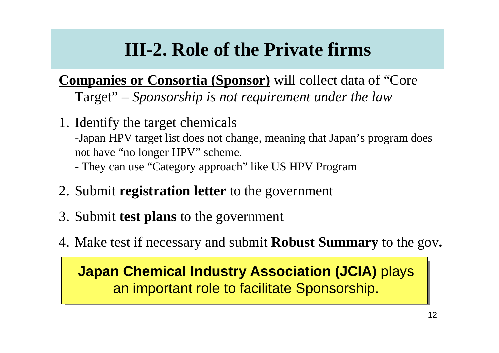# **III-2. Role of the Private firms**

**Companies or Consortia (Sponsor)** will collect data of "Core" Target" – *Sponsorship is not requirement under the law*

1. Identify the target chemicals -Japan HPV target list does not change, meaning that Japan's program does not have "no longer HPV" scheme.

They can use "Category approach" like US HPV Program

- 2. Submit **registration letter** to the government
- 3. Submit **test plans** to the government
- 4. Make test if necessary and submit **Robust Summary** to the gov**.**

**Japan Chemical Industry Association (JCIA)** plays an important role to facilitate Sponsorship.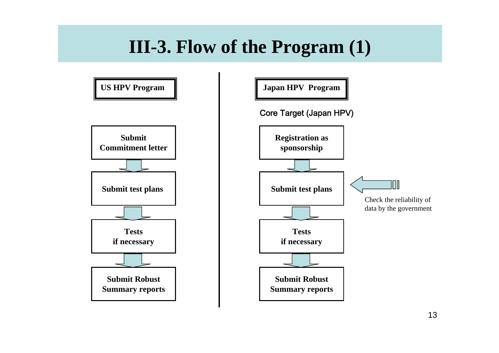#### **III-3. Flow of the Program (1)**

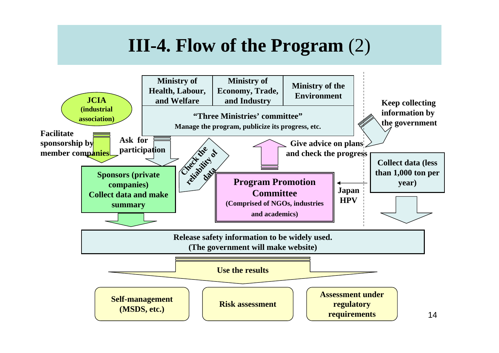#### **III-4. Flow of the Program** (2)

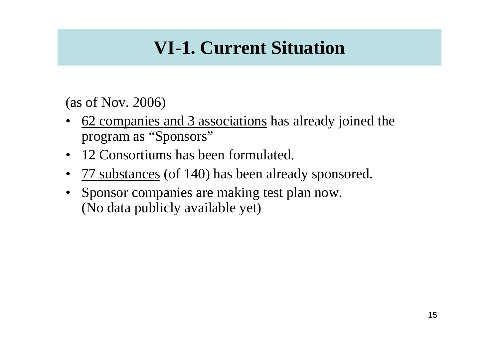## **VI-1. Current Situation**

(as of Nov. 2006)

- • 62 companies and 3 associations has already joined the program as "Sponsors"
- •12 Consortiums has been formulated.
- •<u>77 substances</u> (of 140) has been already sponsored.
- • Sponsor companies are making test plan now. (No data publicly available yet)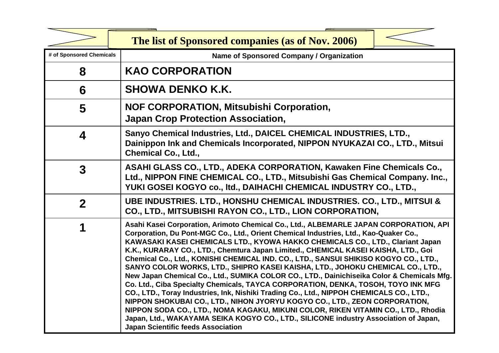|                          | The list of Sponsored companies (as of Nov. 2006)                                                                                                                                                                                                                                                                                                                                                                                                                                                                                                                                                                                                                                                                                                                                                                                                                                                                                                                                                                                                                                                                       |  |
|--------------------------|-------------------------------------------------------------------------------------------------------------------------------------------------------------------------------------------------------------------------------------------------------------------------------------------------------------------------------------------------------------------------------------------------------------------------------------------------------------------------------------------------------------------------------------------------------------------------------------------------------------------------------------------------------------------------------------------------------------------------------------------------------------------------------------------------------------------------------------------------------------------------------------------------------------------------------------------------------------------------------------------------------------------------------------------------------------------------------------------------------------------------|--|
| # of Sponsored Chemicals | Name of Sponsored Company / Organization                                                                                                                                                                                                                                                                                                                                                                                                                                                                                                                                                                                                                                                                                                                                                                                                                                                                                                                                                                                                                                                                                |  |
| 8                        | <b>KAO CORPORATION</b>                                                                                                                                                                                                                                                                                                                                                                                                                                                                                                                                                                                                                                                                                                                                                                                                                                                                                                                                                                                                                                                                                                  |  |
| 6                        | <b>SHOWA DENKO K.K.</b>                                                                                                                                                                                                                                                                                                                                                                                                                                                                                                                                                                                                                                                                                                                                                                                                                                                                                                                                                                                                                                                                                                 |  |
| 5                        | <b>NOF CORPORATION, Mitsubishi Corporation,</b><br><b>Japan Crop Protection Association,</b>                                                                                                                                                                                                                                                                                                                                                                                                                                                                                                                                                                                                                                                                                                                                                                                                                                                                                                                                                                                                                            |  |
| 4                        | Sanyo Chemical Industries, Ltd., DAICEL CHEMICAL INDUSTRIES, LTD.,<br>Dainippon Ink and Chemicals Incorporated, NIPPON NYUKAZAI CO., LTD., Mitsui<br><b>Chemical Co., Ltd.,</b>                                                                                                                                                                                                                                                                                                                                                                                                                                                                                                                                                                                                                                                                                                                                                                                                                                                                                                                                         |  |
| $\mathbf{3}$             | ASAHI GLASS CO., LTD., ADEKA CORPORATION, Kawaken Fine Chemicals Co.,<br>Ltd., NIPPON FINE CHEMICAL CO., LTD., Mitsubishi Gas Chemical Company. Inc.,<br>YUKI GOSEI KOGYO co., Itd., DAIHACHI CHEMICAL INDUSTRY CO., LTD.,                                                                                                                                                                                                                                                                                                                                                                                                                                                                                                                                                                                                                                                                                                                                                                                                                                                                                              |  |
| $\overline{2}$           | UBE INDUSTRIES. LTD., HONSHU CHEMICAL INDUSTRIES. CO., LTD., MITSUI &<br>CO., LTD., MITSUBISHI RAYON CO., LTD., LION CORPORATION,                                                                                                                                                                                                                                                                                                                                                                                                                                                                                                                                                                                                                                                                                                                                                                                                                                                                                                                                                                                       |  |
|                          | Asahi Kasei Corporation, Arimoto Chemical Co., Ltd., ALBEMARLE JAPAN CORPORATION, API<br>Corporation, Du Pont-MGC Co., Ltd., Orient Chemical Industries, Ltd., Kao-Quaker Co.,<br>KAWASAKI KASEI CHEMICALS LTD., KYOWA HAKKO CHEMICALS CO., LTD., Clariant Japan<br>K.K., KURARAY CO., LTD., Chemtura Japan Limited., CHEMICAL KASEI KAISHA, LTD., Goi<br>Chemical Co., Ltd., KONISHI CHEMICAL IND. CO., LTD., SANSUI SHIKISO KOGYO CO., LTD.,<br>SANYO COLOR WORKS, LTD., SHIPRO KASEI KAISHA, LTD., JOHOKU CHEMICAL CO., LTD.,<br>New Japan Chemical Co., Ltd., SUMIKA COLOR CO., LTD., Dainichiseika Color & Chemicals Mfg.<br>Co. Ltd., Ciba Specialty Chemicals, TAYCA CORPORATION, DENKA, TOSOH, TOYO INK MFG<br>CO., LTD., Toray Industries, Ink, Nishiki Trading Co., Ltd., NIPPOH CHEMICALS CO., LTD.,<br>NIPPON SHOKUBAI CO., LTD., NIHON JYORYU KOGYO CO., LTD., ZEON CORPORATION,<br>NIPPON SODA CO., LTD., NOMA KAGAKU, MIKUNI COLOR, RIKEN VITAMIN CO., LTD., Rhodia<br>Japan, Ltd., WAKAYAMA SEIKA KOGYO CO., LTD., SILICONE industry Association of Japan,<br><b>Japan Scientific feeds Association</b> |  |